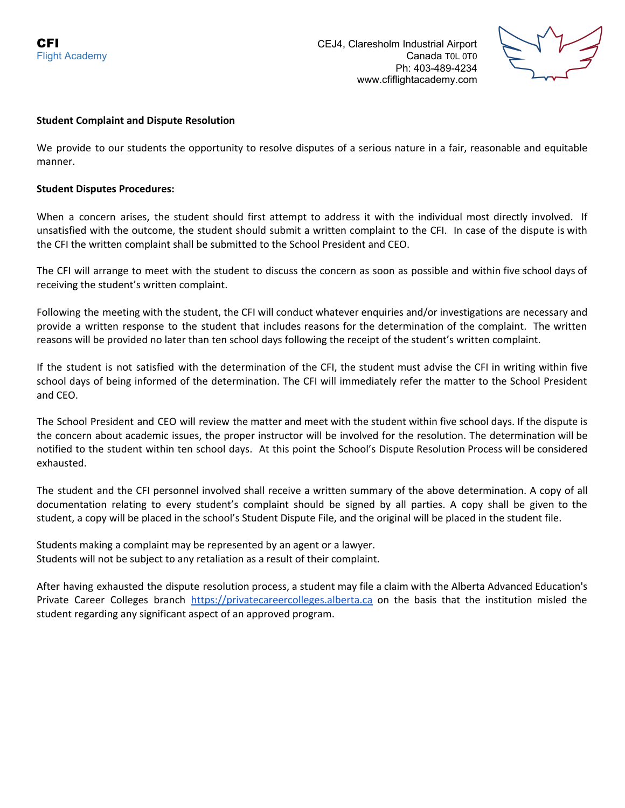**CFI** CEJ4, Claresholm Industrial Airport Flight Academy Canada T0L 0T0 Ph: 403-489-4234 www.cfiflightacademy.com



## **Student Complaint and Dispute Resolution**

We provide to our students the opportunity to resolve disputes of a serious nature in a fair, reasonable and equitable manner.

## **Student Disputes Procedures:**

When a concern arises, the student should first attempt to address it with the individual most directly involved. If unsatisfied with the outcome, the student should submit a written complaint to the CFI. In case of the dispute is with the CFI the written complaint shall be submitted to the School President and CEO.

The CFI will arrange to meet with the student to discuss the concern as soon as possible and within five school days of receiving the student's written complaint.

Following the meeting with the student, the CFI will conduct whatever enquiries and/or investigations are necessary and provide a written response to the student that includes reasons for the determination of the complaint. The written reasons will be provided no later than ten school days following the receipt of the student's written complaint.

If the student is not satisfied with the determination of the CFI, the student must advise the CFI in writing within five school days of being informed of the determination. The CFI will immediately refer the matter to the School President and CEO.

The School President and CEO will review the matter and meet with the student within five school days. If the dispute is the concern about academic issues, the proper instructor will be involved for the resolution. The determination will be notified to the student within ten school days. At this point the School's Dispute Resolution Process will be considered exhausted.

The student and the CFI personnel involved shall receive a written summary of the above determination. A copy of all documentation relating to every student's complaint should be signed by all parties. A copy shall be given to the student, a copy will be placed in the school's Student Dispute File, and the original will be placed in the student file.

Students making a complaint may be represented by an agent or a lawyer. Students will not be subject to any retaliation as a result of their complaint.

After having exhausted the dispute resolution process, a student may file a claim with the Alberta Advanced Education's Private Career Colleges branch [https://privatecareercolleges.alberta.ca](https://privatecareercolleges.alberta.ca/) on the basis that the institution misled the student regarding any significant aspect of an approved program.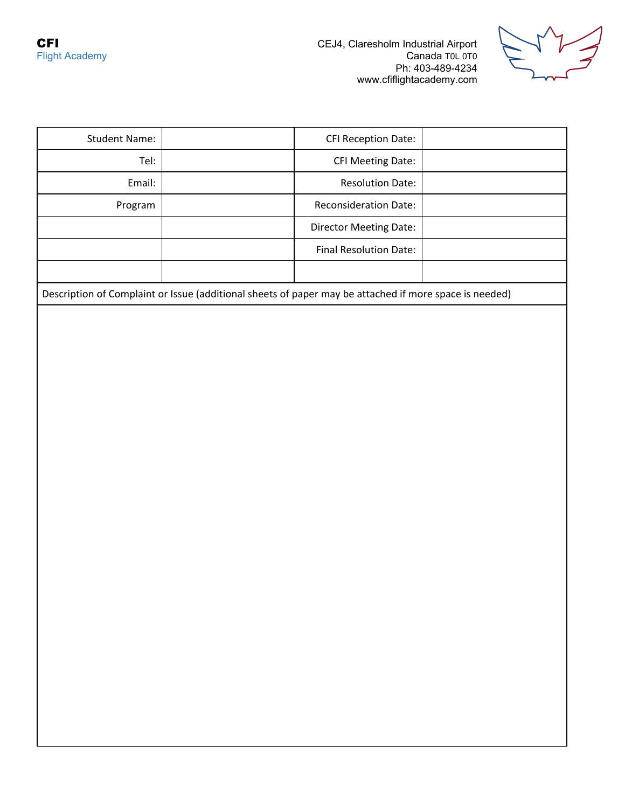

| <b>Student Name:</b>                                                                                   |  | <b>CFI Reception Date:</b>   |  |
|--------------------------------------------------------------------------------------------------------|--|------------------------------|--|
| Tel:                                                                                                   |  | <b>CFI Meeting Date:</b>     |  |
| Email:                                                                                                 |  | <b>Resolution Date:</b>      |  |
| Program                                                                                                |  | <b>Reconsideration Date:</b> |  |
|                                                                                                        |  | Director Meeting Date:       |  |
|                                                                                                        |  | Final Resolution Date:       |  |
|                                                                                                        |  |                              |  |
| Description of Complaint or Issue (additional sheets of paper may be attached if more space is needed) |  |                              |  |
|                                                                                                        |  |                              |  |
|                                                                                                        |  |                              |  |
|                                                                                                        |  |                              |  |
|                                                                                                        |  |                              |  |
|                                                                                                        |  |                              |  |
|                                                                                                        |  |                              |  |
|                                                                                                        |  |                              |  |
|                                                                                                        |  |                              |  |
|                                                                                                        |  |                              |  |
|                                                                                                        |  |                              |  |
|                                                                                                        |  |                              |  |
|                                                                                                        |  |                              |  |
|                                                                                                        |  |                              |  |
|                                                                                                        |  |                              |  |
|                                                                                                        |  |                              |  |
|                                                                                                        |  |                              |  |
|                                                                                                        |  |                              |  |
|                                                                                                        |  |                              |  |
|                                                                                                        |  |                              |  |
|                                                                                                        |  |                              |  |
|                                                                                                        |  |                              |  |
|                                                                                                        |  |                              |  |
|                                                                                                        |  |                              |  |
|                                                                                                        |  |                              |  |
|                                                                                                        |  |                              |  |
|                                                                                                        |  |                              |  |
|                                                                                                        |  |                              |  |
|                                                                                                        |  |                              |  |